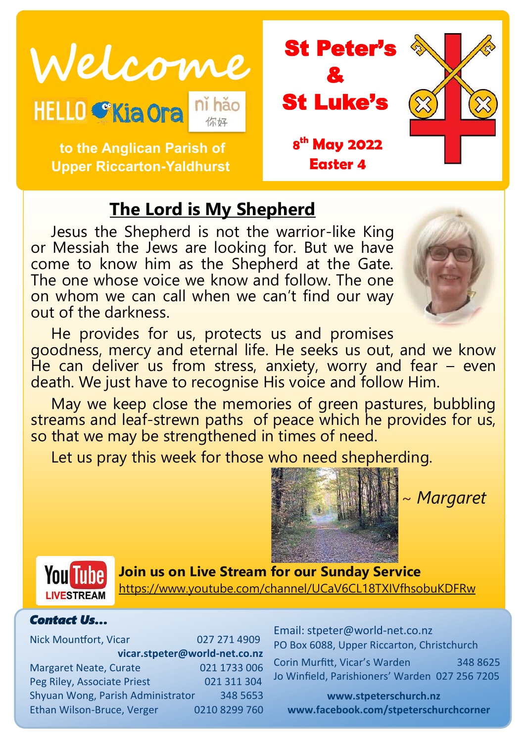

 **to the Anglican Parish of Upper Riccarton-Yaldhurst**



# **The Lord is My Shepherd**

Jesus the Shepherd is not the warrior-like King or Messiah the Jews are looking for. But we have come to know him as the Shepherd at the Gate. The one whose voice we know and follow. The one on whom we can call when we can't find our way out of the darkness.

He provides for us, protects us and promises goodness, mercy and eternal life. He seeks us out, and we know He can deliver us from stress, anxiety, worry and fear  $-$  even death. We just have to recognise His voice and follow Him.

May we keep close the memories of green pastures, bubbling streams and leaf-strewn paths of peace which he provides for us, so that we may be strengthened in times of need.

Let us pray this week for those who need shepherding.



~ *Margaret*



**Join us on Live Stream for our Sunday Service** <https://www.youtube.com/channel/UCaV6CL18TXIVfhsobuKDFRw>

#### *Contact Us…*

Nick Mountfort, Vicar 027 271 4909 **vicar.stpeter@world-net.co.nz** Margaret Neate, Curate 021 1733 006 Peg Riley, Associate Priest 021 311 304 Shyuan Wong, Parish Administrator 348 5653 Ethan Wilson-Bruce, Verger 0210 8299 760 Email: stpeter@world-net.co.nz PO Box 6088, Upper Riccarton, Christchurch Corin Murfitt, Vicar's Warden 348 8625 Jo Winfield, Parishioners' Warden 027 256 7205

**www.stpeterschurch.nz www.facebook.com/stpeterschurchcorner**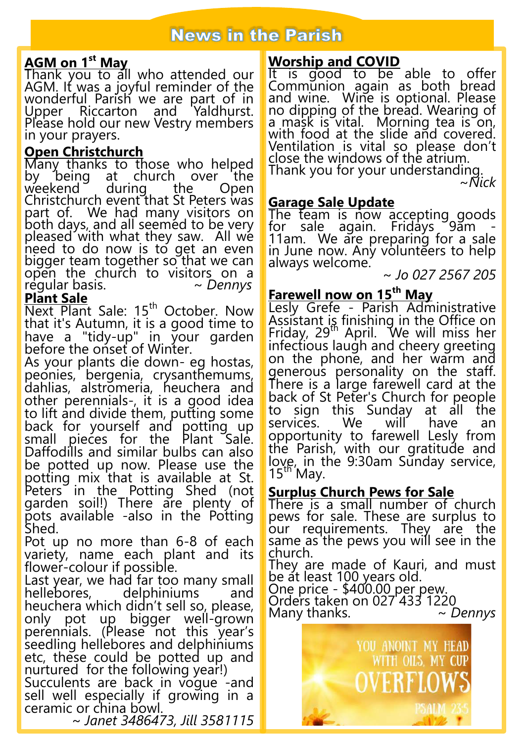## **News in the Parish**

## **AGM on 1st May**

Thank you to all who attended our AGM. It was a joyful reminder of the wonderful Parish we are part of in Upper Riccarton and Yaldhurst. Please hold our new Vestry members in your prayers.

#### **Open Christchurch**

Many thanks to those who helped<br>by being at church over the by being at church over the<br>weekend during the Open  $wee$ kend Christchurch event that St Peters was part of. We had many visitors on both days, and all seemed to be very pleased with what they saw. All we need to do now is to get an even bigger team together so that we can open the church to visitors on a<br>regular-basis.  $\sim$  Dennys regular basis. *~ Dennys* **Plant Sale**

Next Plant Sale: 15<sup>th</sup> October. Now that it's Autumn, it is a good time to have a "tidy-up" in your garden before the onset of Winter.

As your plants die down- eg hostas, peonies, bergenia, crysanthemums, dahlias, alstromeria, heuchera and other perennials-, it is a good idea to lift and divide them, putting some back for yourself and potting up small pieces for the Plant Sale. Daffodills and similar bulbs can also be potted up now. Please use the potting mix that is available at St. Peters in the Potting Shed (not garden soil!) There are plenty of pots available -also in the Potting Shed.

Pot up no more than 6-8 of each variety, name each plant and its flower-colour if possible.

Last year, we had far too many small<br>hellebores, delphiniums and hellebores, delphiniums and heuchera which didn't sell so, please, only pot up bigger well-grown perennials. (Please not this year's seedling hellebores and delphiniums etc, these could be potted up and nurtured for the following year!) Succulents are back in vogue -and

sell well especially if growing in a ceramic or china bowl. ~ *Janet 3486473, Jill 3581115*

# It is good to be able to offer

Communion again as both bread and wine. Wine is optional. Please no dipping of the bread. Wearing of a mask is vital. Morning tea is on, with food at the slide and covered. Ventilation is vital so please don't close the windows of the atrium. Thank you for your understanding.

~*Nick*

#### **Garage Sale Update**

**Worship and COVID**

The team is now accepting goods for sale again. Fridays 9am -11am. We are preparing for a sale in June now. Any volunteers to help always welcome.

~ *Jo 027 2567 205*

## **Farewell now on 15th May**

Lesly Grefe - Parish Administrative Assistant is finishing in the Office on Friday, 29th April. We will miss her infectious laugh and cheery greeting on the phone, and her warm and generous personality on the staff. There is a large farewell card at the back of St Peter's Church for people to sign this Sunday at all the<br>services. We will have an services. We will have an opportunity to farewell Lesly from the Parish, with our gratitude and love, in the 9:30am Sunday service,  $15<sup>th</sup>$  May.

#### **Surplus Church Pews for Sale**

There is a small number of church pews for sale. These are surplus to our requirements. The<u>y</u> are the same as the pews you will see in the church.

They are made of Kauri, and must be at least 100 years old.

One price - \$400.00 per pew. Orders taken on 027 433 1220 Many thanks. *~ Dennys*

> YOU ANOINT MY HEAD WITH OILS. MY CUP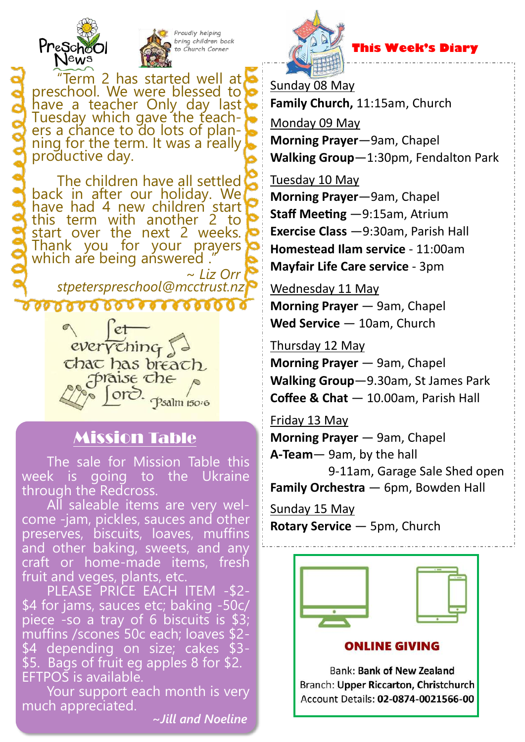



 **This Week's Diary**

Sunday 08 May **Family Church,** 11:15am, Church

Monday 09 May

**Morning Prayer**—9am, Chapel **Walking Group**—1:30pm, Fendalton Park

Tuesday 10 May **Morning Prayer**—9am, Chapel **Staff Meeting** —9:15am, Atrium **Exercise Class** —9:30am, Parish Hall **Homestead Ilam service** - 11:00am

**Mayfair Life Care service** - 3pm

Wednesday 11 May

**Morning Prayer** — 9am, Chapel **Wed Service** — 10am, Church

Thursday 12 May **Morning Prayer** — 9am, Chapel

**Walking Group**—9.30am, St James Park **Coffee & Chat** — 10.00am, Parish Hall

Friday 13 May **Morning Prayer** — 9am, Chapel

**A-Team**— 9am, by the hall 9-11am, Garage Sale Shed open

**Family Orchestra** — 6pm, Bowden Hall

Sunday 15 May **Rotary Service** — 5pm, Church



Term 2 has started well at, preschool. We were blessed to have a teacher Only day last Tuesday which gave the teachers a chance to do lots of planning for the term. It was a really productive day.

The children have all settled back in after our holiday. We have had 4 new children start this term with another 2 to start over the next 2 weeks. Thank you for your prayers which are being answered. ~ *Liz Orr*

*stpeterspreschool@mcctrust.nz*



# Mission Table

The sale for Mission Table this week is going to the Ukraine through the Redcross.

All saleable items are very welcome -jam, pickles, sauces and other preserves, biscuits, loaves, muffins and other baking, sweets, and any craft or home-made items, fresh fruit and veges, plants, etc.

PLEASE PRICE EACH ITEM -\$2- \$4 for jams, sauces etc; baking -50c/ piece -so a tray of 6 biscuits is \$3; muffins /scones 50c each; loaves \$2- \$4 depending on size; cakes \$3- \$5. Bags of fruit eg apples 8 for \$2. EFTPOS is available.

Your support each month is very much appreciated.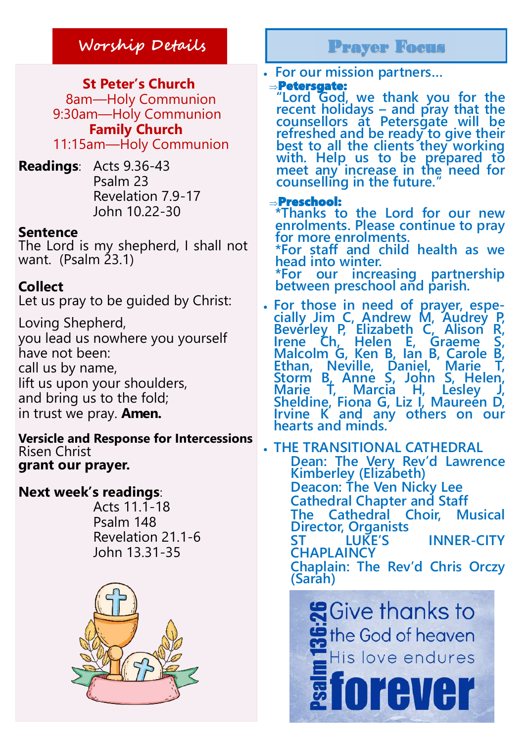**St Peter's Church** 8am—Holy Communion 9:30am—Holy Communion **Family Church**

11:15am—Holy Communion

**Readings**: Acts 9.36-43 Psalm 23 Revelation 7.9-17 John 10.22-30

#### **Sentence**

The Lord is my shepherd, I shall not want. (Psalm 23.1)

## **Collect**

Let us pray to be guided by Christ:

Loving Shepherd, you lead us nowhere you yourself have not been: call us by name, lift us upon your shoulders, and bring us to the fold; in trust we pray. **Amen.**

**Versicle and Response for Intercessions** Risen Christ **grant our prayer.**

## **Next week's readings**:

 Acts 11.1-18 Psalm 148 Revelation 21.1-6 John 13.31-35



**For our mission partners…**

#### Petersgate:

**"Lord God, we thank you for the recent holidays – and pray that the counsellors at Petersgate will be refreshed and be ready to give their best to all the clients they working with. Help us to be prepared to**  meet any increase in the need for **counselling in the future."** 

#### Preschool:

**\*Thanks to the Lord for our new enrolments. Please continue to pray for more enrolments.** 

**\*For staff and child health as we head into winter.** 

**\*For our increasing partnership between preschool and parish.** 

 **For those in need of prayer, especially Jim C, Andrew M, Audrey P, Beverley P, Elizabeth C, Alison R, Irene Ch, Helen E, Graeme S, Malcolm G, Ken B, Ian B, Carole<br>Ethan, Neville, Daniel, Marie** Ethan, Neville, Daniel, **Storm B, Anne S, John S, Helen, Marie T, Marcia H, Lesley J, Sheldine, Fiona G, Liz I, Maureen D, Irvine K and any others on our hearts and minds.**

 **THE TRANSITIONAL CATHEDRAL Dean: The Very Rev'd Lawrence Kimberley (Elizabeth) Deacon: The Ven Nicky Lee Cathedral Chapter and Staff The Cathedral Choir, Musical Director, Organists INNER-CITY CHAPLAINCY Chaplain: The Rev'd Chris Orczy (Sarah)**